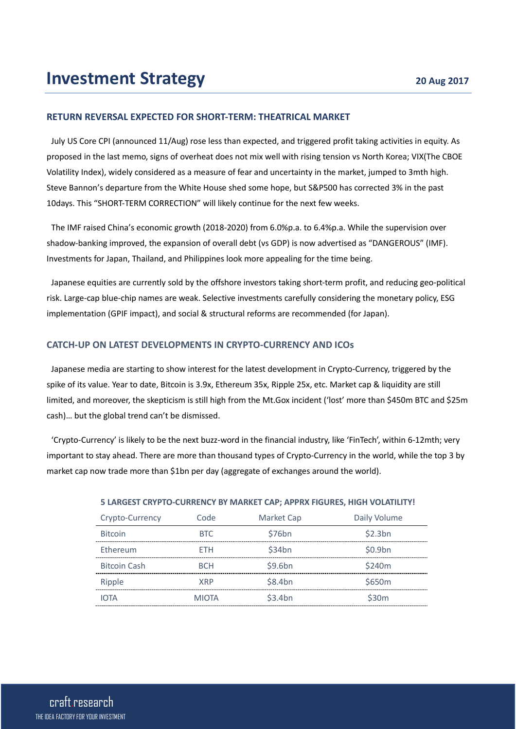## **RETURN REVERSAL EXPECTED FOR SHORT-TERM: THEATRICAL MARKET**

July US Core CPI (announced 11/Aug) rose less than expected, and triggered profit taking activities in equity. As proposed in the last memo, signs of overheat does not mix well with rising tension vs North Korea; VIX(The CBOE Volatility Index), widely considered as a measure of fear and uncertainty in the market, jumped to 3mth high. Steve Bannon's departure from the White House shed some hope, but S&P500 has corrected 3% in the past 10days. This "SHORT-TERM CORRECTION" will likely continue for the next few weeks.

The IMF raised China's economic growth (2018-2020) from 6.0%p.a. to 6.4%p.a. While the supervision over shadow-banking improved, the expansion of overall debt (vs GDP) is now advertised as "DANGEROUS" (IMF). Investments for Japan, Thailand, and Philippines look more appealing for the time being.

Japanese equities are currently sold by the offshore investors taking short-term profit, and reducing geo-political risk. Large-cap blue-chip names are weak. Selective investments carefully considering the monetary policy, ESG implementation (GPIF impact), and social & structural reforms are recommended (for Japan).

#### **CATCH-UP ON LATEST DEVELOPMENTS IN CRYPTO-CURRENCY AND ICOs**

Japanese media are starting to show interest for the latest development in Crypto-Currency, triggered by the spike of its value. Year to date, Bitcoin is 3.9x, Ethereum 35x, Ripple 25x, etc. Market cap & liquidity are still limited, and moreover, the skepticism is still high from the Mt.Gox incident ('lost' more than \$450m BTC and \$25m cash)… but the global trend can't be dismissed.

'Crypto-Currency' is likely to be the next buzz-word in the financial industry, like 'FinTech', within 6-12mth; very important to stay ahead. There are more than thousand types of Crypto-Currency in the world, while the top 3 by market cap now trade more than \$1bn per day (aggregate of exchanges around the world).

| Crypto-Currency     | Code         | Market Cap | Daily Volume        |
|---------------------|--------------|------------|---------------------|
| <b>Bitcoin</b>      | BTC          | \$76bn     | \$2.3bn             |
| Ethereum            | <b>FTH</b>   | \$34bn     | \$0.9 <sub>bn</sub> |
| <b>Bitcoin Cash</b> | <b>BCH</b>   | \$9.6bn    | \$240m              |
| Ripple              | <b>XRP</b>   | \$8.4bn    | \$650m              |
| <b>IOTA</b>         | <b>MIOTA</b> | \$3.4bn    | \$30m               |

#### **5 LARGEST CRYPTO-CURRENCY BY MARKET CAP; APPRX FIGURES, HIGH VOLATILITY!**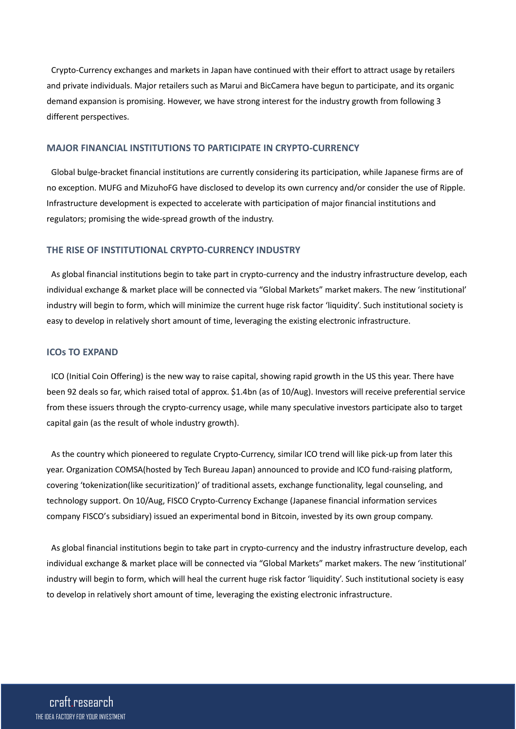Crypto-Currency exchanges and markets in Japan have continued with their effort to attract usage by retailers and private individuals. Major retailers such as Marui and BicCamera have begun to participate, and its organic demand expansion is promising. However, we have strong interest for the industry growth from following 3 different perspectives.

## **MAJOR FINANCIAL INSTITUTIONS TO PARTICIPATE IN CRYPTO-CURRENCY**

Global bulge-bracket financial institutions are currently considering its participation, while Japanese firms are of no exception. MUFG and MizuhoFG have disclosed to develop its own currency and/or consider the use of Ripple. Infrastructure development is expected to accelerate with participation of major financial institutions and regulators; promising the wide-spread growth of the industry.

# **THE RISE OF INSTITUTIONAL CRYPTO-CURRENCY INDUSTRY**

As global financial institutions begin to take part in crypto-currency and the industry infrastructure develop, each individual exchange & market place will be connected via "Global Markets" market makers. The new 'institutional' industry will begin to form, which will minimize the current huge risk factor 'liquidity'. Such institutional society is easy to develop in relatively short amount of time, leveraging the existing electronic infrastructure.

# **ICOs TO EXPAND**

ICO (Initial Coin Offering) is the new way to raise capital, showing rapid growth in the US this year. There have been 92 deals so far, which raised total of approx. \$1.4bn (as of 10/Aug). Investors will receive preferential service from these issuers through the crypto-currency usage, while many speculative investors participate also to target capital gain (as the result of whole industry growth).

As the country which pioneered to regulate Crypto-Currency, similar ICO trend will like pick-up from later this year. Organization COMSA(hosted by Tech Bureau Japan) announced to provide and ICO fund-raising platform, covering 'tokenization(like securitization)' of traditional assets, exchange functionality, legal counseling, and technology support. On 10/Aug, FISCO Crypto-Currency Exchange (Japanese financial information services company FISCO's subsidiary) issued an experimental bond in Bitcoin, invested by its own group company.

As global financial institutions begin to take part in crypto-currency and the industry infrastructure develop, each individual exchange & market place will be connected via "Global Markets" market makers. The new 'institutional' industry will begin to form, which will heal the current huge risk factor 'liquidity'. Such institutional society is easy to develop in relatively short amount of time, leveraging the existing electronic infrastructure.